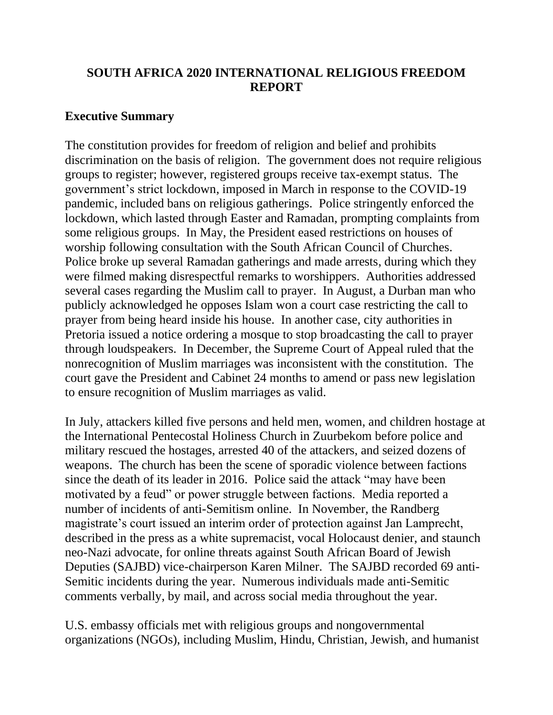# **SOUTH AFRICA 2020 INTERNATIONAL RELIGIOUS FREEDOM REPORT**

## **Executive Summary**

The constitution provides for freedom of religion and belief and prohibits discrimination on the basis of religion. The government does not require religious groups to register; however, registered groups receive tax-exempt status. The government's strict lockdown, imposed in March in response to the COVID-19 pandemic, included bans on religious gatherings. Police stringently enforced the lockdown, which lasted through Easter and Ramadan, prompting complaints from some religious groups. In May, the President eased restrictions on houses of worship following consultation with the South African Council of Churches. Police broke up several Ramadan gatherings and made arrests, during which they were filmed making disrespectful remarks to worshippers. Authorities addressed several cases regarding the Muslim call to prayer. In August, a Durban man who publicly acknowledged he opposes Islam won a court case restricting the call to prayer from being heard inside his house. In another case, city authorities in Pretoria issued a notice ordering a mosque to stop broadcasting the call to prayer through loudspeakers. In December, the Supreme Court of Appeal ruled that the nonrecognition of Muslim marriages was inconsistent with the constitution. The court gave the President and Cabinet 24 months to amend or pass new legislation to ensure recognition of Muslim marriages as valid.

In July, attackers killed five persons and held men, women, and children hostage at the International Pentecostal Holiness Church in Zuurbekom before police and military rescued the hostages, arrested 40 of the attackers, and seized dozens of weapons. The church has been the scene of sporadic violence between factions since the death of its leader in 2016. Police said the attack "may have been motivated by a feud" or power struggle between factions. Media reported a number of incidents of anti-Semitism online. In November, the Randberg magistrate's court issued an interim order of protection against Jan Lamprecht, described in the press as a white supremacist, vocal Holocaust denier, and staunch neo-Nazi advocate, for online threats against South African Board of Jewish Deputies (SAJBD) vice-chairperson Karen Milner. The SAJBD recorded 69 anti-Semitic incidents during the year. Numerous individuals made anti-Semitic comments verbally, by mail, and across social media throughout the year.

U.S. embassy officials met with religious groups and nongovernmental organizations (NGOs), including Muslim, Hindu, Christian, Jewish, and humanist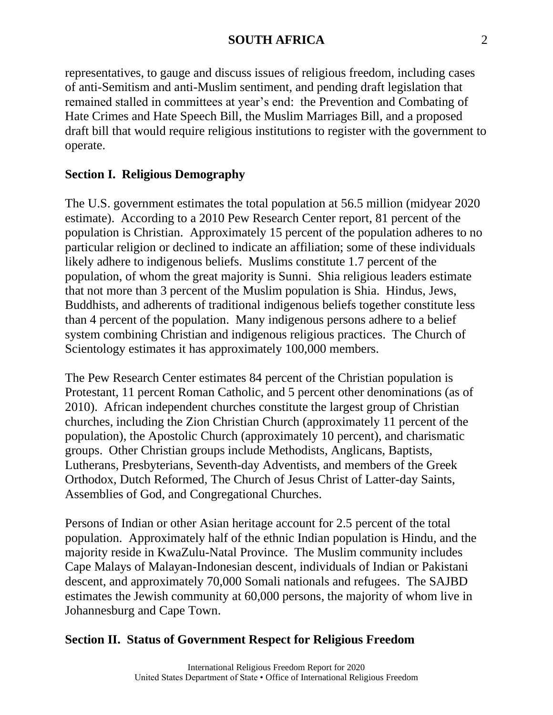representatives, to gauge and discuss issues of religious freedom, including cases of anti-Semitism and anti-Muslim sentiment, and pending draft legislation that remained stalled in committees at year's end: the Prevention and Combating of Hate Crimes and Hate Speech Bill, the Muslim Marriages Bill, and a proposed draft bill that would require religious institutions to register with the government to operate.

### **Section I. Religious Demography**

The U.S. government estimates the total population at 56.5 million (midyear 2020 estimate). According to a 2010 Pew Research Center report, 81 percent of the population is Christian. Approximately 15 percent of the population adheres to no particular religion or declined to indicate an affiliation; some of these individuals likely adhere to indigenous beliefs. Muslims constitute 1.7 percent of the population, of whom the great majority is Sunni. Shia religious leaders estimate that not more than 3 percent of the Muslim population is Shia. Hindus, Jews, Buddhists, and adherents of traditional indigenous beliefs together constitute less than 4 percent of the population. Many indigenous persons adhere to a belief system combining Christian and indigenous religious practices. The Church of Scientology estimates it has approximately 100,000 members.

The Pew Research Center estimates 84 percent of the Christian population is Protestant, 11 percent Roman Catholic, and 5 percent other denominations (as of 2010). African independent churches constitute the largest group of Christian churches, including the Zion Christian Church (approximately 11 percent of the population), the Apostolic Church (approximately 10 percent), and charismatic groups. Other Christian groups include Methodists, Anglicans, Baptists, Lutherans, Presbyterians, Seventh-day Adventists, and members of the Greek Orthodox, Dutch Reformed, The Church of Jesus Christ of Latter-day Saints, Assemblies of God, and Congregational Churches.

Persons of Indian or other Asian heritage account for 2.5 percent of the total population. Approximately half of the ethnic Indian population is Hindu, and the majority reside in KwaZulu-Natal Province. The Muslim community includes Cape Malays of Malayan-Indonesian descent, individuals of Indian or Pakistani descent, and approximately 70,000 Somali nationals and refugees. The SAJBD estimates the Jewish community at 60,000 persons, the majority of whom live in Johannesburg and Cape Town.

### **Section II. Status of Government Respect for Religious Freedom**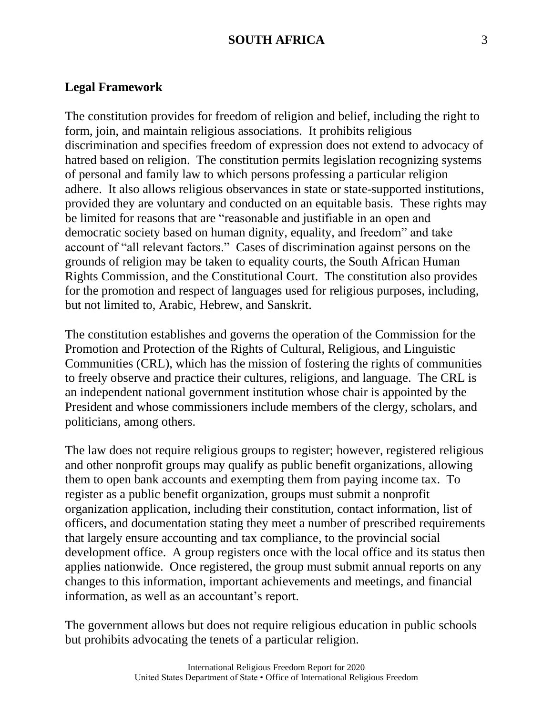#### **Legal Framework**

The constitution provides for freedom of religion and belief, including the right to form, join, and maintain religious associations. It prohibits religious discrimination and specifies freedom of expression does not extend to advocacy of hatred based on religion. The constitution permits legislation recognizing systems of personal and family law to which persons professing a particular religion adhere. It also allows religious observances in state or state-supported institutions, provided they are voluntary and conducted on an equitable basis. These rights may be limited for reasons that are "reasonable and justifiable in an open and democratic society based on human dignity, equality, and freedom" and take account of "all relevant factors." Cases of discrimination against persons on the grounds of religion may be taken to equality courts, the South African Human Rights Commission, and the Constitutional Court. The constitution also provides for the promotion and respect of languages used for religious purposes, including, but not limited to, Arabic, Hebrew, and Sanskrit.

The constitution establishes and governs the operation of the Commission for the Promotion and Protection of the Rights of Cultural, Religious, and Linguistic Communities (CRL), which has the mission of fostering the rights of communities to freely observe and practice their cultures, religions, and language. The CRL is an independent national government institution whose chair is appointed by the President and whose commissioners include members of the clergy, scholars, and politicians, among others.

The law does not require religious groups to register; however, registered religious and other nonprofit groups may qualify as public benefit organizations, allowing them to open bank accounts and exempting them from paying income tax. To register as a public benefit organization, groups must submit a nonprofit organization application, including their constitution, contact information, list of officers, and documentation stating they meet a number of prescribed requirements that largely ensure accounting and tax compliance, to the provincial social development office. A group registers once with the local office and its status then applies nationwide. Once registered, the group must submit annual reports on any changes to this information, important achievements and meetings, and financial information, as well as an accountant's report.

The government allows but does not require religious education in public schools but prohibits advocating the tenets of a particular religion.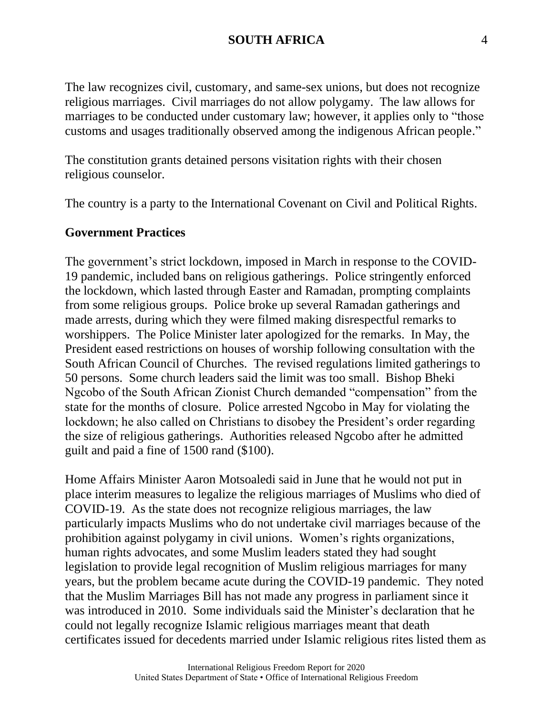The law recognizes civil, customary, and same-sex unions, but does not recognize religious marriages. Civil marriages do not allow polygamy. The law allows for marriages to be conducted under customary law; however, it applies only to "those customs and usages traditionally observed among the indigenous African people."

The constitution grants detained persons visitation rights with their chosen religious counselor.

The country is a party to the International Covenant on Civil and Political Rights.

#### **Government Practices**

The government's strict lockdown, imposed in March in response to the COVID-19 pandemic, included bans on religious gatherings. Police stringently enforced the lockdown, which lasted through Easter and Ramadan, prompting complaints from some religious groups. Police broke up several Ramadan gatherings and made arrests, during which they were filmed making disrespectful remarks to worshippers. The Police Minister later apologized for the remarks. In May, the President eased restrictions on houses of worship following consultation with the South African Council of Churches. The revised regulations limited gatherings to 50 persons. Some church leaders said the limit was too small. Bishop Bheki Ngcobo of the South African Zionist Church demanded "compensation" from the state for the months of closure. Police arrested Ngcobo in May for violating the lockdown; he also called on Christians to disobey the President's order regarding the size of religious gatherings. Authorities released Ngcobo after he admitted guilt and paid a fine of 1500 rand (\$100).

Home Affairs Minister Aaron Motsoaledi said in June that he would not put in place interim measures to legalize the religious marriages of Muslims who died of COVID-19. As the state does not recognize religious marriages, the law particularly impacts Muslims who do not undertake civil marriages because of the prohibition against polygamy in civil unions. Women's rights organizations, human rights advocates, and some Muslim leaders stated they had sought legislation to provide legal recognition of Muslim religious marriages for many years, but the problem became acute during the COVID-19 pandemic. They noted that the Muslim Marriages Bill has not made any progress in parliament since it was introduced in 2010. Some individuals said the Minister's declaration that he could not legally recognize Islamic religious marriages meant that death certificates issued for decedents married under Islamic religious rites listed them as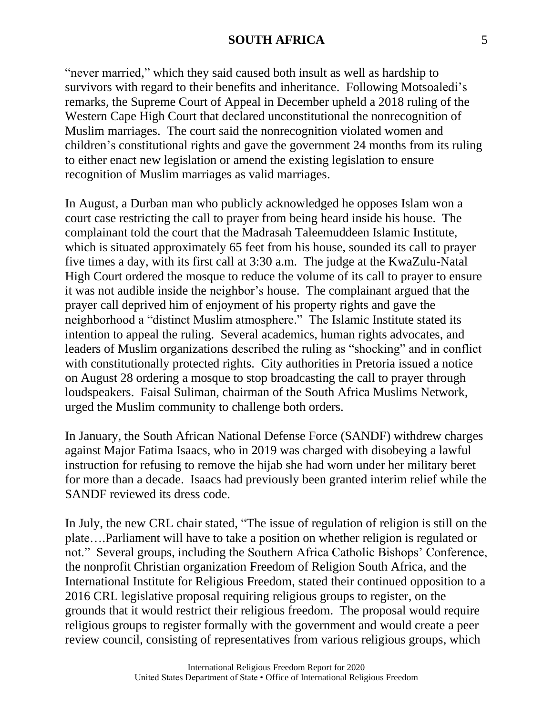"never married," which they said caused both insult as well as hardship to survivors with regard to their benefits and inheritance. Following Motsoaledi's remarks, the Supreme Court of Appeal in December upheld a 2018 ruling of the Western Cape High Court that declared unconstitutional the nonrecognition of Muslim marriages. The court said the nonrecognition violated women and children's constitutional rights and gave the government 24 months from its ruling to either enact new legislation or amend the existing legislation to ensure recognition of Muslim marriages as valid marriages.

In August, a Durban man who publicly acknowledged he opposes Islam won a court case restricting the call to prayer from being heard inside his house. The complainant told the court that the Madrasah Taleemuddeen Islamic Institute, which is situated approximately 65 feet from his house, sounded its call to prayer five times a day, with its first call at 3:30 a.m. The judge at the KwaZulu-Natal High Court ordered the mosque to reduce the volume of its call to prayer to ensure it was not audible inside the neighbor's house. The complainant argued that the prayer call deprived him of enjoyment of his property rights and gave the neighborhood a "distinct Muslim atmosphere." The Islamic Institute stated its intention to appeal the ruling. Several academics, human rights advocates, and leaders of Muslim organizations described the ruling as "shocking" and in conflict with constitutionally protected rights. City authorities in Pretoria issued a notice on August 28 ordering a mosque to stop broadcasting the call to prayer through loudspeakers. Faisal Suliman, chairman of the South Africa Muslims Network, urged the Muslim community to challenge both orders.

In January, the South African National Defense Force (SANDF) withdrew charges against Major Fatima Isaacs, who in 2019 was charged with disobeying a lawful instruction for refusing to remove the hijab she had worn under her military beret for more than a decade. Isaacs had previously been granted interim relief while the SANDF reviewed its dress code.

In July, the new CRL chair stated, "The issue of regulation of religion is still on the plate….Parliament will have to take a position on whether religion is regulated or not." Several groups, including the Southern Africa Catholic Bishops' Conference, the nonprofit Christian organization Freedom of Religion South Africa, and the International Institute for Religious Freedom, stated their continued opposition to a 2016 CRL legislative proposal requiring religious groups to register, on the grounds that it would restrict their religious freedom. The proposal would require religious groups to register formally with the government and would create a peer review council, consisting of representatives from various religious groups, which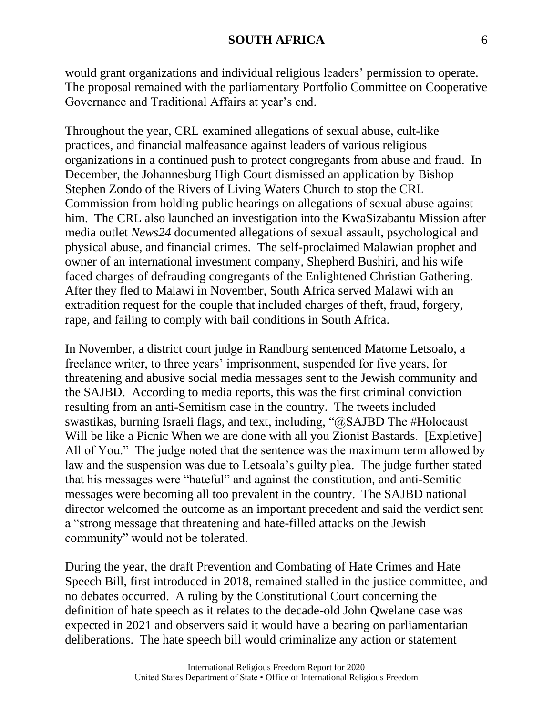would grant organizations and individual religious leaders' permission to operate. The proposal remained with the parliamentary Portfolio Committee on Cooperative Governance and Traditional Affairs at year's end.

Throughout the year, CRL examined allegations of sexual abuse, cult-like practices, and financial malfeasance against leaders of various religious organizations in a continued push to protect congregants from abuse and fraud. In December, the Johannesburg High Court dismissed an application by Bishop Stephen Zondo of the Rivers of Living Waters Church to stop the CRL Commission from holding public hearings on allegations of sexual abuse against him. The CRL also launched an investigation into the KwaSizabantu Mission after media outlet *News24* documented allegations of sexual assault, psychological and physical abuse, and financial crimes. The self-proclaimed Malawian prophet and owner of an international investment company, Shepherd Bushiri, and his wife faced charges of defrauding congregants of the Enlightened Christian Gathering. After they fled to Malawi in November, South Africa served Malawi with an extradition request for the couple that included charges of theft, fraud, forgery, rape, and failing to comply with bail conditions in South Africa.

In November, a district court judge in Randburg sentenced Matome Letsoalo, a freelance writer, to three years' imprisonment, suspended for five years, for threatening and abusive social media messages sent to the Jewish community and the SAJBD. According to media reports, this was the first criminal conviction resulting from an anti-Semitism case in the country. The tweets included swastikas, burning Israeli flags, and text, including, "@SAJBD The #Holocaust Will be like a Picnic When we are done with all you Zionist Bastards. [Expletive] All of You." The judge noted that the sentence was the maximum term allowed by law and the suspension was due to Letsoala's guilty plea. The judge further stated that his messages were "hateful" and against the constitution, and anti-Semitic messages were becoming all too prevalent in the country. The SAJBD national director welcomed the outcome as an important precedent and said the verdict sent a "strong message that threatening and hate-filled attacks on the Jewish community" would not be tolerated.

During the year, the draft Prevention and Combating of Hate Crimes and Hate Speech Bill, first introduced in 2018, remained stalled in the justice committee, and no debates occurred. A ruling by the Constitutional Court concerning the definition of hate speech as it relates to the decade-old John Qwelane case was expected in 2021 and observers said it would have a bearing on parliamentarian deliberations. The hate speech bill would criminalize any action or statement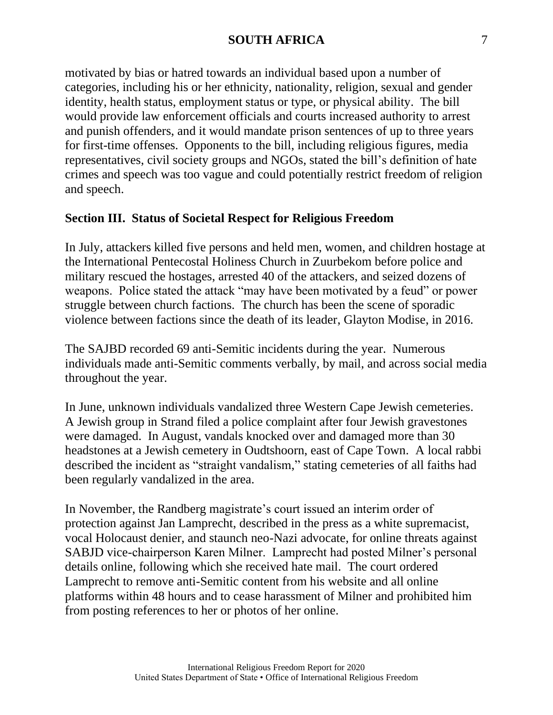motivated by bias or hatred towards an individual based upon a number of categories, including his or her ethnicity, nationality, religion, sexual and gender identity, health status, employment status or type, or physical ability. The bill would provide law enforcement officials and courts increased authority to arrest and punish offenders, and it would mandate prison sentences of up to three years for first-time offenses. Opponents to the bill, including religious figures, media representatives, civil society groups and NGOs, stated the bill's definition of hate crimes and speech was too vague and could potentially restrict freedom of religion and speech.

## **Section III. Status of Societal Respect for Religious Freedom**

In July, attackers killed five persons and held men, women, and children hostage at the International Pentecostal Holiness Church in Zuurbekom before police and military rescued the hostages, arrested 40 of the attackers, and seized dozens of weapons. Police stated the attack "may have been motivated by a feud" or power struggle between church factions. The church has been the scene of sporadic violence between factions since the death of its leader, Glayton Modise, in 2016.

The SAJBD recorded 69 anti-Semitic incidents during the year. Numerous individuals made anti-Semitic comments verbally, by mail, and across social media throughout the year.

In June, unknown individuals vandalized three Western Cape Jewish cemeteries. A Jewish group in Strand filed a police complaint after four Jewish gravestones were damaged. In August, vandals knocked over and damaged more than 30 headstones at a Jewish cemetery in Oudtshoorn, east of Cape Town. A local rabbi described the incident as "straight vandalism," stating cemeteries of all faiths had been regularly vandalized in the area.

In November, the Randberg magistrate's court issued an interim order of protection against Jan Lamprecht, described in the press as a white supremacist, vocal Holocaust denier, and staunch neo-Nazi advocate, for online threats against SABJD vice-chairperson Karen Milner. Lamprecht had posted Milner's personal details online, following which she received hate mail. The court ordered Lamprecht to remove anti-Semitic content from his website and all online platforms within 48 hours and to cease harassment of Milner and prohibited him from posting references to her or photos of her online.